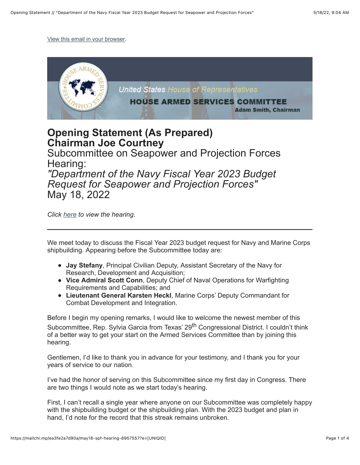[View this email in your browser.](https://mailchi.mp/ea3fe2a7d90a/may18-spf-hearing-8957557?e=%5BUNIQID%5D)



## **Opening Statement (As Prepared) Chairman Joe Courtney**

Subcommittee on Seapower and Projection Forces Hearing:

*"Department of the Navy Fiscal Year 2023 Budget Request for Seapower and Projection Forces"* May 18, 2022

*Click [here](https://armedservices.house.gov/hearings?ID=578F1344-C838-4D25-932E-326863C4C601) to view the hearing.*

We meet today to discuss the Fiscal Year 2023 budget request for Navy and Marine Corps shipbuilding. Appearing before the Subcommittee today are:

- **Jay Stefany**, Principal Civilian Deputy, Assistant Secretary of the Navy for Research, Development and Acquisition;
- **Vice Admiral Scott Conn**, Deputy Chief of Naval Operations for Warfighting Requirements and Capabilities; and
- **Lieutenant General Karsten Heckl**, Marine Corps' Deputy Commandant for Combat Development and Integration.

Before I begin my opening remarks, I would like to welcome the newest member of this Subcommittee, Rep. Sylvia Garcia from Texas' 29<sup>th</sup> Congressional District. I couldn't think of a better way to get your start on the Armed Services Committee than by joining this hearing.

Gentlemen, I'd like to thank you in advance for your testimony, and I thank you for your years of service to our nation.

I've had the honor of serving on this Subcommittee since my first day in Congress. There are two things I would note as we start today's hearing.

First, I can't recall a single year where anyone on our Subcommittee was completely happy with the shipbuilding budget or the shipbuilding plan. With the 2023 budget and plan in hand, I'd note for the record that this streak remains unbroken.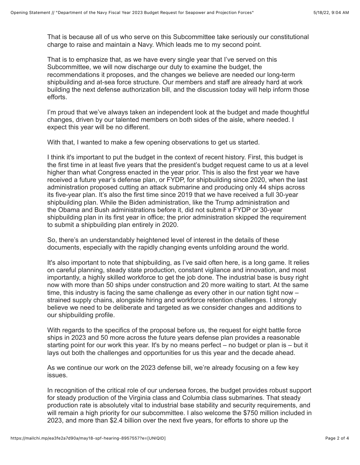That is because all of us who serve on this Subcommittee take seriously our constitutional charge to raise and maintain a Navy. Which leads me to my second point.

That is to emphasize that, as we have every single year that I've served on this Subcommittee, we will now discharge our duty to examine the budget, the recommendations it proposes, and the changes we believe are needed our long-term shipbuilding and at-sea force structure. Our members and staff are already hard at work building the next defense authorization bill, and the discussion today will help inform those efforts.

I'm proud that we've always taken an independent look at the budget and made thoughtful changes, driven by our talented members on both sides of the aisle, where needed. I expect this year will be no different.

With that, I wanted to make a few opening observations to get us started.

I think it's important to put the budget in the context of recent history. First, this budget is the first time in at least five years that the president's budget request came to us at a level higher than what Congress enacted in the year prior. This is also the first year we have received a future year's defense plan, or FYDP, for shipbuilding since 2020, when the last administration proposed cutting an attack submarine and producing only 44 ships across its five-year plan. It's also the first time since 2019 that we have received a full 30-year shipbuilding plan. While the Biden administration, like the Trump administration and the Obama and Bush administrations before it, did not submit a FYDP or 30-year shipbuilding plan in its first year in office; the prior administration skipped the requirement to submit a shipbuilding plan entirely in 2020.

So, there's an understandably heightened level of interest in the details of these documents, especially with the rapidly changing events unfolding around the world.

It's also important to note that shipbuilding, as I've said often here, is a long game. It relies on careful planning, steady state production, constant vigilance and innovation, and most importantly, a highly skilled workforce to get the job done. The industrial base is busy right now with more than 50 ships under construction and 20 more waiting to start. At the same time, this industry is facing the same challenge as every other in our nation tight now – strained supply chains, alongside hiring and workforce retention challenges. I strongly believe we need to be deliberate and targeted as we consider changes and additions to our shipbuilding profile.

With regards to the specifics of the proposal before us, the request for eight battle force ships in 2023 and 50 more across the future years defense plan provides a reasonable starting point for our work this year. It's by no means perfect – no budget or plan is – but it lays out both the challenges and opportunities for us this year and the decade ahead.

As we continue our work on the 2023 defense bill, we're already focusing on a few key issues.

In recognition of the critical role of our undersea forces, the budget provides robust support for steady production of the Virginia class and Columbia class submarines. That steady production rate is absolutely vital to industrial base stability and security requirements, and will remain a high priority for our subcommittee. I also welcome the \$750 million included in 2023, and more than \$2.4 billion over the next five years, for efforts to shore up the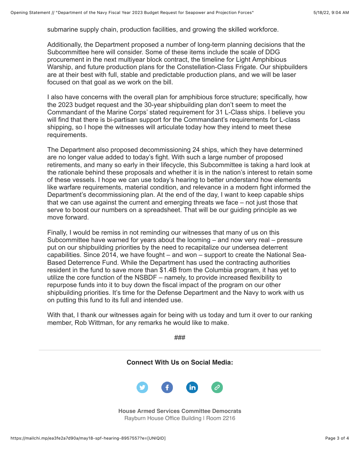submarine supply chain, production facilities, and growing the skilled workforce.

Additionally, the Department proposed a number of long-term planning decisions that the Subcommittee here will consider. Some of these items include the scale of DDG procurement in the next multiyear block contract, the timeline for Light Amphibious Warship, and future production plans for the Constellation-Class Frigate. Our shipbuilders are at their best with full, stable and predictable production plans, and we will be laser focused on that goal as we work on the bill.

I also have concerns with the overall plan for amphibious force structure; specifically, how the 2023 budget request and the 30-year shipbuilding plan don't seem to meet the Commandant of the Marine Corps' stated requirement for 31 L-Class ships. I believe you will find that there is bi-partisan support for the Commandant's requirements for L-class shipping, so I hope the witnesses will articulate today how they intend to meet these requirements.

The Department also proposed decommissioning 24 ships, which they have determined are no longer value added to today's fight. With such a large number of proposed retirements, and many so early in their lifecycle, this Subcommittee is taking a hard look at the rationale behind these proposals and whether it is in the nation's interest to retain some of these vessels. I hope we can use today's hearing to better understand how elements like warfare requirements, material condition, and relevance in a modern fight informed the Department's decommissioning plan. At the end of the day, I want to keep capable ships that we can use against the current and emerging threats we face – not just those that serve to boost our numbers on a spreadsheet. That will be our guiding principle as we move forward.

Finally, I would be remiss in not reminding our witnesses that many of us on this Subcommittee have warned for years about the looming – and now very real – pressure put on our shipbuilding priorities by the need to recapitalize our undersea deterrent capabilities. Since 2014, we have fought – and won – support to create the National Sea-Based Deterrence Fund. While the Department has used the contracting authorities resident in the fund to save more than \$1.4B from the Columbia program, it has yet to utilize the core function of the NSBDF – namely, to provide increased flexibility to repurpose funds into it to buy down the fiscal impact of the program on our other shipbuilding priorities. It's time for the Defense Department and the Navy to work with us on putting this fund to its full and intended use.

With that, I thank our witnesses again for being with us today and turn it over to our ranking member, Rob Wittman, for any remarks he would like to make.

###

**Connect With Us on Social Media:**



**House Armed Services Committee Democrats** Rayburn House Office Building | Room 2216